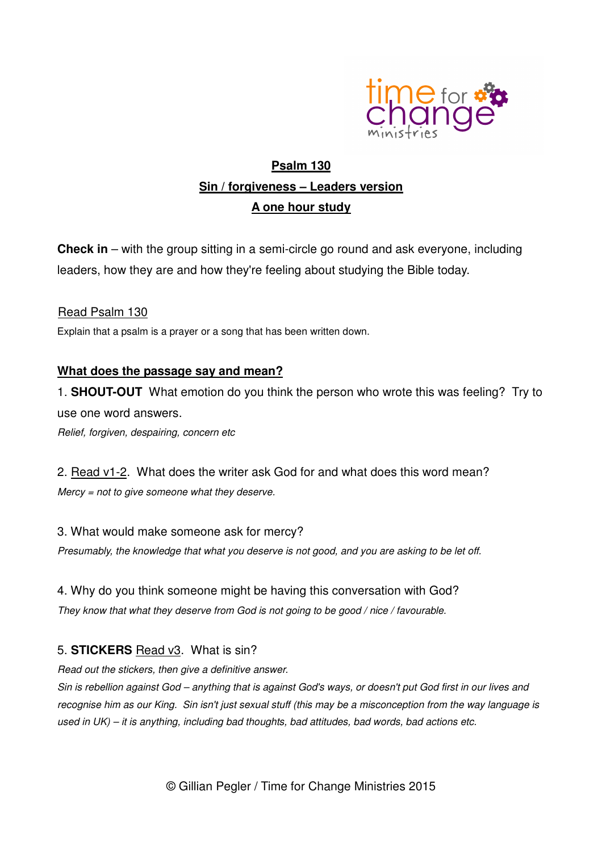

# **Psalm 130 Sin / forgiveness – Leaders version A one hour study**

**Check in** – with the group sitting in a semi-circle go round and ask everyone, including leaders, how they are and how they're feeling about studying the Bible today.

#### Read Psalm 130

Explain that a psalm is a prayer or a song that has been written down.

### **What does the passage say and mean?**

1. **SHOUT-OUT** What emotion do you think the person who wrote this was feeling? Try to use one word answers. Relief, forgiven, despairing, concern etc

2. Read v1-2. What does the writer ask God for and what does this word mean?  $M$ ercy = not to give someone what they deserve.

#### 3. What would make someone ask for mercy?

Presumably, the knowledge that what you deserve is not good, and you are asking to be let off.

#### 4. Why do you think someone might be having this conversation with God?

They know that what they deserve from God is not going to be good / nice / favourable.

### 5. **STICKERS** Read v3. What is sin?

Read out the stickers, then give a definitive answer.

Sin is rebellion against God – anything that is against God's ways, or doesn't put God first in our lives and recognise him as our King. Sin isn't just sexual stuff (this may be a misconception from the way language is used in UK) – it is anything, including bad thoughts, bad attitudes, bad words, bad actions etc.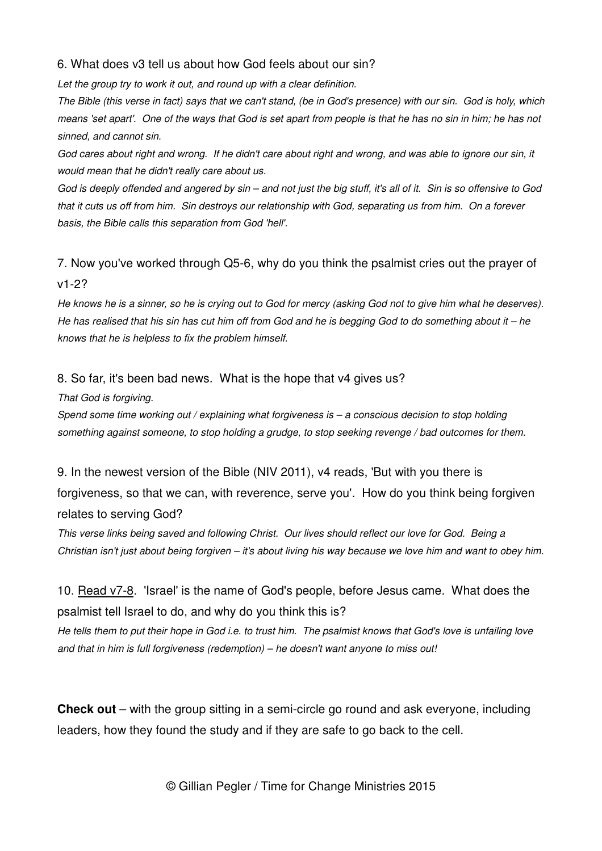#### 6. What does v3 tell us about how God feels about our sin?

Let the group try to work it out, and round up with a clear definition.

The Bible (this verse in fact) says that we can't stand, (be in God's presence) with our sin. God is holy, which means 'set apart'. One of the ways that God is set apart from people is that he has no sin in him; he has not sinned, and cannot sin.

God cares about right and wrong. If he didn't care about right and wrong, and was able to ignore our sin, it would mean that he didn't really care about us.

God is deeply offended and angered by sin – and not just the big stuff, it's all of it. Sin is so offensive to God that it cuts us off from him. Sin destroys our relationship with God, separating us from him. On a forever basis, the Bible calls this separation from God 'hell'.

### 7. Now you've worked through Q5-6, why do you think the psalmist cries out the prayer of v1-2?

He knows he is a sinner, so he is crying out to God for mercy (asking God not to give him what he deserves). He has realised that his sin has cut him off from God and he is begging God to do something about it – he knows that he is helpless to fix the problem himself.

#### 8. So far, it's been bad news. What is the hope that v4 gives us?

That God is forgiving.

Spend some time working out / explaining what forgiveness is – a conscious decision to stop holding something against someone, to stop holding a grudge, to stop seeking revenge / bad outcomes for them.

9. In the newest version of the Bible (NIV 2011), v4 reads, 'But with you there is forgiveness, so that we can, with reverence, serve you'. How do you think being forgiven relates to serving God?

This verse links being saved and following Christ. Our lives should reflect our love for God. Being a Christian isn't just about being forgiven – it's about living his way because we love him and want to obey him.

### 10. Read v7-8. 'Israel' is the name of God's people, before Jesus came. What does the psalmist tell Israel to do, and why do you think this is?

He tells them to put their hope in God i.e. to trust him. The psalmist knows that God's love is unfailing love and that in him is full forgiveness (redemption) – he doesn't want anyone to miss out!

**Check out** – with the group sitting in a semi-circle go round and ask everyone, including leaders, how they found the study and if they are safe to go back to the cell.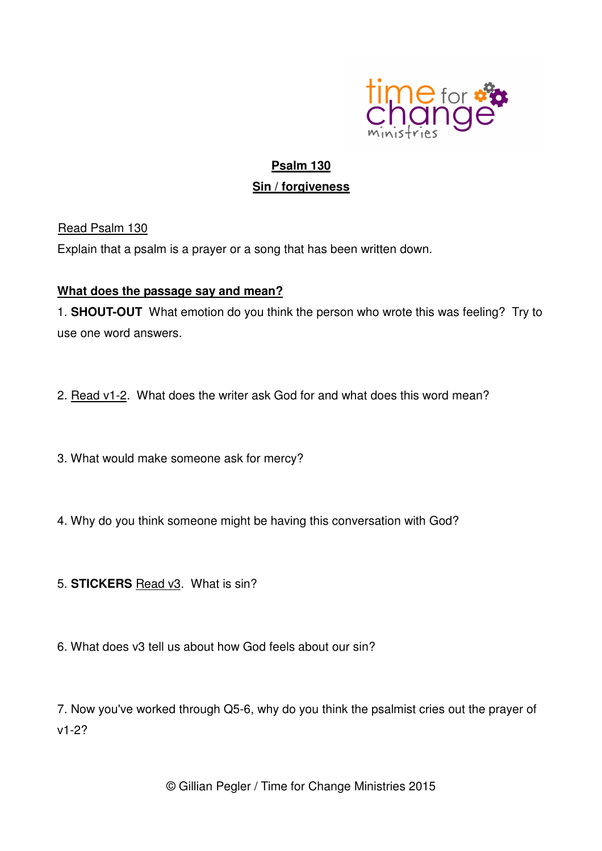

## **Psalm 130 Sin / forgiveness**

Read Psalm 130

Explain that a psalm is a prayer or a song that has been written down.

#### **What does the passage say and mean?**

1. **SHOUT-OUT** What emotion do you think the person who wrote this was feeling? Try to use one word answers.

- 2. Read v1-2. What does the writer ask God for and what does this word mean?
- 3. What would make someone ask for mercy?
- 4. Why do you think someone might be having this conversation with God?
- 5. **STICKERS** Read v3. What is sin?
- 6. What does v3 tell us about how God feels about our sin?

7. Now you've worked through Q5-6, why do you think the psalmist cries out the prayer of v1-2?